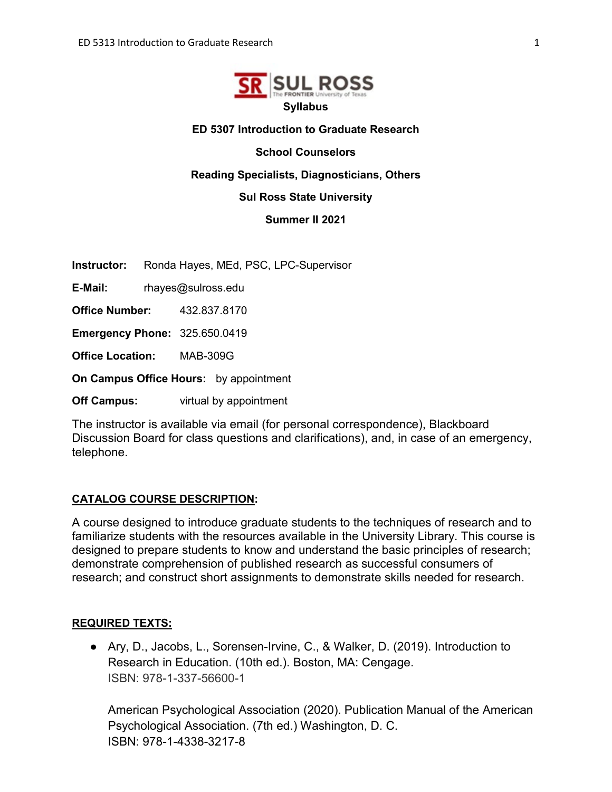

#### **ED 5307 Introduction to Graduate Research**

**School Counselors**

**Reading Specialists, Diagnosticians, Others** 

#### **Sul Ross State University**

**Summer II 2021**

**Instructor:** Ronda Hayes, MEd, PSC, LPC-Supervisor

**E-Mail:** rhayes@sulross.edu

**Office Number:** 432.837.8170

**Emergency Phone:** 325.650.0419

**Office Location:** MAB-309G

**On Campus Office Hours:** by appointment

**Off Campus:** virtual by appointment

The instructor is available via email (for personal correspondence), Blackboard Discussion Board for class questions and clarifications), and, in case of an emergency, telephone.

#### **CATALOG COURSE DESCRIPTION:**

A course designed to introduce graduate students to the techniques of research and to familiarize students with the resources available in the University Library. This course is designed to prepare students to know and understand the basic principles of research; demonstrate comprehension of published research as successful consumers of research; and construct short assignments to demonstrate skills needed for research.

#### **REQUIRED TEXTS:**

● Ary, D., Jacobs, L., Sorensen-Irvine, C., & Walker, D. (2019). Introduction to Research in Education. (10th ed.). Boston, MA: Cengage. ISBN: 978-1-337-56600-1

American Psychological Association (2020). Publication Manual of the American Psychological Association. (7th ed.) Washington, D. C. ISBN: 978-1-4338-3217-8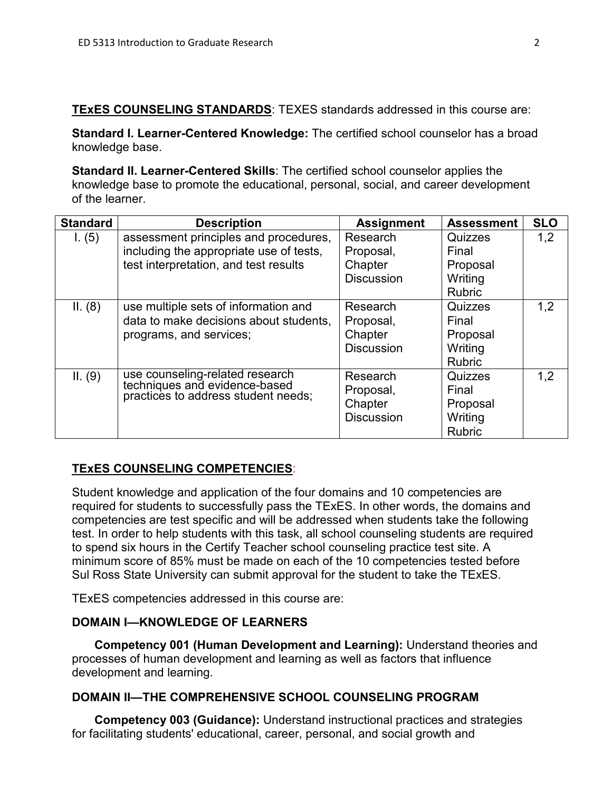**TExES COUNSELING STANDARDS**: TEXES standards addressed in this course are:

**Standard I. Learner-Centered Knowledge:** The certified school counselor has a broad knowledge base.

**Standard II. Learner-Centered Skills**: The certified school counselor applies the knowledge base to promote the educational, personal, social, and career development of the learner.

| <b>Standard</b> | <b>Description</b>                                                                                      | <b>Assignment</b> | <b>Assessment</b> | <b>SLO</b> |
|-----------------|---------------------------------------------------------------------------------------------------------|-------------------|-------------------|------------|
| I. (5)          | assessment principles and procedures,                                                                   | Research          | Quizzes           | 1,2        |
|                 | including the appropriate use of tests,                                                                 | Proposal,         | Final             |            |
|                 | test interpretation, and test results                                                                   | Chapter           | Proposal          |            |
|                 |                                                                                                         | <b>Discussion</b> | Writing           |            |
|                 |                                                                                                         |                   | <b>Rubric</b>     |            |
| II. (8)         | use multiple sets of information and                                                                    | Research          | Quizzes           | 1,2        |
|                 | data to make decisions about students,                                                                  | Proposal,         | Final             |            |
|                 | programs, and services;                                                                                 | Chapter           | Proposal          |            |
|                 |                                                                                                         | <b>Discussion</b> | Writing           |            |
|                 |                                                                                                         |                   | <b>Rubric</b>     |            |
| II. (9)         | use counseling-related research<br>techniques and evidence-based<br>practices to address student needs; | Research          | Quizzes           | 1,2        |
|                 |                                                                                                         | Proposal,         | Final             |            |
|                 |                                                                                                         | Chapter           | Proposal          |            |
|                 |                                                                                                         | <b>Discussion</b> | Writing           |            |
|                 |                                                                                                         |                   | <b>Rubric</b>     |            |

# **TExES COUNSELING COMPETENCIES**:

Student knowledge and application of the four domains and 10 competencies are required for students to successfully pass the TExES. In other words, the domains and competencies are test specific and will be addressed when students take the following test. In order to help students with this task, all school counseling students are required to spend six hours in the Certify Teacher school counseling practice test site. A minimum score of 85% must be made on each of the 10 competencies tested before Sul Ross State University can submit approval for the student to take the TExES.

TExES competencies addressed in this course are:

# **DOMAIN I—KNOWLEDGE OF LEARNERS**

**Competency 001 (Human Development and Learning):** Understand theories and processes of human development and learning as well as factors that influence development and learning.

# **DOMAIN II—THE COMPREHENSIVE SCHOOL COUNSELING PROGRAM**

**Competency 003 (Guidance):** Understand instructional practices and strategies for facilitating students' educational, career, personal, and social growth and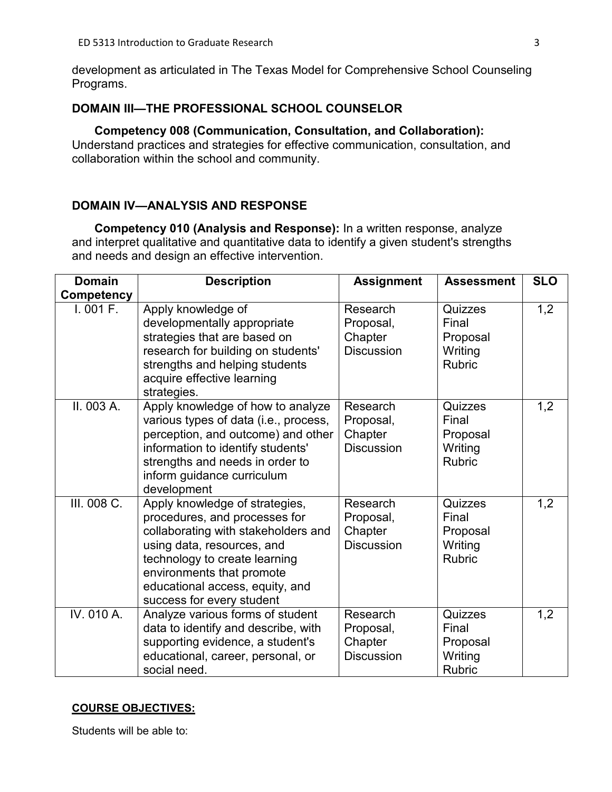development as articulated in The Texas Model for Comprehensive School Counseling Programs.

# **DOMAIN III—THE PROFESSIONAL SCHOOL COUNSELOR**

**Competency 008 (Communication, Consultation, and Collaboration):**  Understand practices and strategies for effective communication, consultation, and collaboration within the school and community.

# **DOMAIN IV—ANALYSIS AND RESPONSE**

**Competency 010 (Analysis and Response):** In a written response, analyze and interpret qualitative and quantitative data to identify a given student's strengths and needs and design an effective intervention.

| <b>Domain</b>     | <b>Description</b>                                                                                                                                                                                                                                                 | <b>Assignment</b>                                     | <b>Assessment</b>                                        | <b>SLO</b> |
|-------------------|--------------------------------------------------------------------------------------------------------------------------------------------------------------------------------------------------------------------------------------------------------------------|-------------------------------------------------------|----------------------------------------------------------|------------|
| <b>Competency</b> |                                                                                                                                                                                                                                                                    |                                                       |                                                          |            |
| 1.001 F.          | Apply knowledge of<br>developmentally appropriate<br>strategies that are based on<br>research for building on students'<br>strengths and helping students<br>acquire effective learning<br>strategies.                                                             | Research<br>Proposal,<br>Chapter<br><b>Discussion</b> | Quizzes<br>Final<br>Proposal<br>Writing<br><b>Rubric</b> | 1,2        |
| II. 003 A.        | Apply knowledge of how to analyze<br>various types of data (i.e., process,<br>perception, and outcome) and other<br>information to identify students'<br>strengths and needs in order to<br>inform guidance curriculum<br>development                              | Research<br>Proposal,<br>Chapter<br><b>Discussion</b> | Quizzes<br>Final<br>Proposal<br>Writing<br><b>Rubric</b> | 1,2        |
| III. 008 C.       | Apply knowledge of strategies,<br>procedures, and processes for<br>collaborating with stakeholders and<br>using data, resources, and<br>technology to create learning<br>environments that promote<br>educational access, equity, and<br>success for every student | Research<br>Proposal,<br>Chapter<br><b>Discussion</b> | Quizzes<br>Final<br>Proposal<br>Writing<br><b>Rubric</b> | 1,2        |
| IV. 010 A.        | Analyze various forms of student<br>data to identify and describe, with<br>supporting evidence, a student's<br>educational, career, personal, or<br>social need.                                                                                                   | Research<br>Proposal,<br>Chapter<br><b>Discussion</b> | Quizzes<br>Final<br>Proposal<br>Writing<br><b>Rubric</b> | 1,2        |

# **COURSE OBJECTIVES:**

Students will be able to: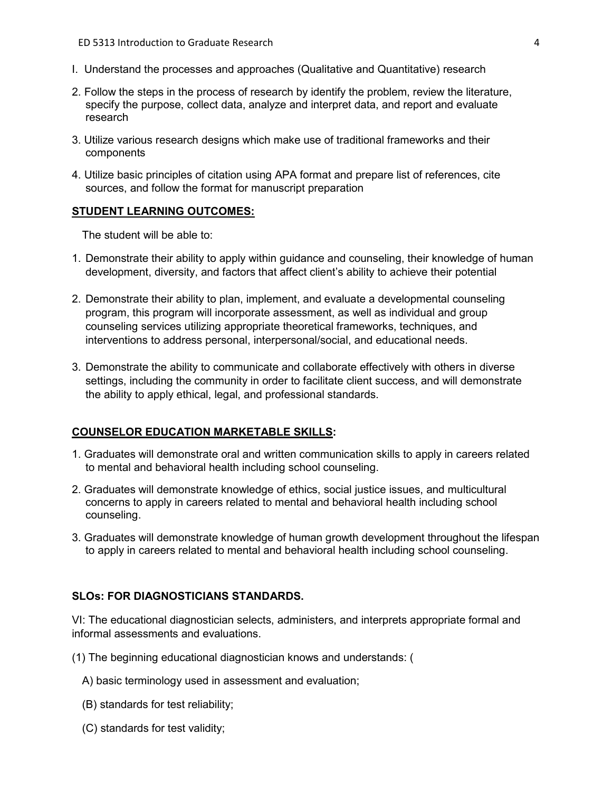- I. Understand the processes and approaches (Qualitative and Quantitative) research
- 2. Follow the steps in the process of research by identify the problem, review the literature, specify the purpose, collect data, analyze and interpret data, and report and evaluate research
- 3. Utilize various research designs which make use of traditional frameworks and their components
- 4. Utilize basic principles of citation using APA format and prepare list of references, cite sources, and follow the format for manuscript preparation

#### **STUDENT LEARNING OUTCOMES:**

The student will be able to:

- 1. Demonstrate their ability to apply within guidance and counseling, their knowledge of human development, diversity, and factors that affect client's ability to achieve their potential
- 2. Demonstrate their ability to plan, implement, and evaluate a developmental counseling program, this program will incorporate assessment, as well as individual and group counseling services utilizing appropriate theoretical frameworks, techniques, and interventions to address personal, interpersonal/social, and educational needs.
- 3. Demonstrate the ability to communicate and collaborate effectively with others in diverse settings, including the community in order to facilitate client success, and will demonstrate the ability to apply ethical, legal, and professional standards.

#### **COUNSELOR EDUCATION MARKETABLE SKILLS:**

- 1. Graduates will demonstrate oral and written communication skills to apply in careers related to mental and behavioral health including school counseling.
- 2. Graduates will demonstrate knowledge of ethics, social justice issues, and multicultural concerns to apply in careers related to mental and behavioral health including school counseling.
- 3. Graduates will demonstrate knowledge of human growth development throughout the lifespan to apply in careers related to mental and behavioral health including school counseling.

#### **SLOs: FOR DIAGNOSTICIANS STANDARDS.**

VI: The educational diagnostician selects, administers, and interprets appropriate formal and informal assessments and evaluations.

(1) The beginning educational diagnostician knows and understands: (

- A) basic terminology used in assessment and evaluation;
- (B) standards for test reliability;
- (C) standards for test validity;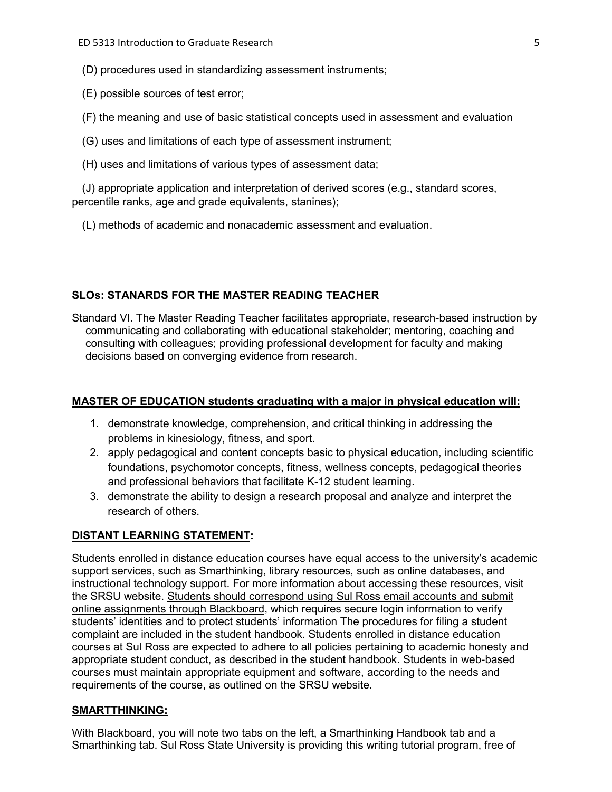- (D) procedures used in standardizing assessment instruments;
- (E) possible sources of test error;
- (F) the meaning and use of basic statistical concepts used in assessment and evaluation
- (G) uses and limitations of each type of assessment instrument;
- (H) uses and limitations of various types of assessment data;

(J) appropriate application and interpretation of derived scores (e.g., standard scores, percentile ranks, age and grade equivalents, stanines);

(L) methods of academic and nonacademic assessment and evaluation.

#### **SLOs: STANARDS FOR THE MASTER READING TEACHER**

Standard VI. The Master Reading Teacher facilitates appropriate, research-based instruction by communicating and collaborating with educational stakeholder; mentoring, coaching and consulting with colleagues; providing professional development for faculty and making decisions based on converging evidence from research.

#### **MASTER OF EDUCATION students graduating with a major in physical education will:**

- 1. demonstrate knowledge, comprehension, and critical thinking in addressing the problems in kinesiology, fitness, and sport.
- 2. apply pedagogical and content concepts basic to physical education, including scientific foundations, psychomotor concepts, fitness, wellness concepts, pedagogical theories and professional behaviors that facilitate K-12 student learning.
- 3. demonstrate the ability to design a research proposal and analyze and interpret the research of others.

#### **DISTANT LEARNING STATEMENT:**

Students enrolled in distance education courses have equal access to the university's academic support services, such as Smarthinking, library resources, such as online databases, and instructional technology support. For more information about accessing these resources, visit the SRSU website. Students should correspond using Sul Ross email accounts and submit online assignments through Blackboard, which requires secure login information to verify students' identities and to protect students' information The procedures for filing a student complaint are included in the student handbook. Students enrolled in distance education courses at Sul Ross are expected to adhere to all policies pertaining to academic honesty and appropriate student conduct, as described in the student handbook. Students in web-based courses must maintain appropriate equipment and software, according to the needs and requirements of the course, as outlined on the SRSU website.

#### **SMARTTHINKING:**

With Blackboard, you will note two tabs on the left, a Smarthinking Handbook tab and a Smarthinking tab. Sul Ross State University is providing this writing tutorial program, free of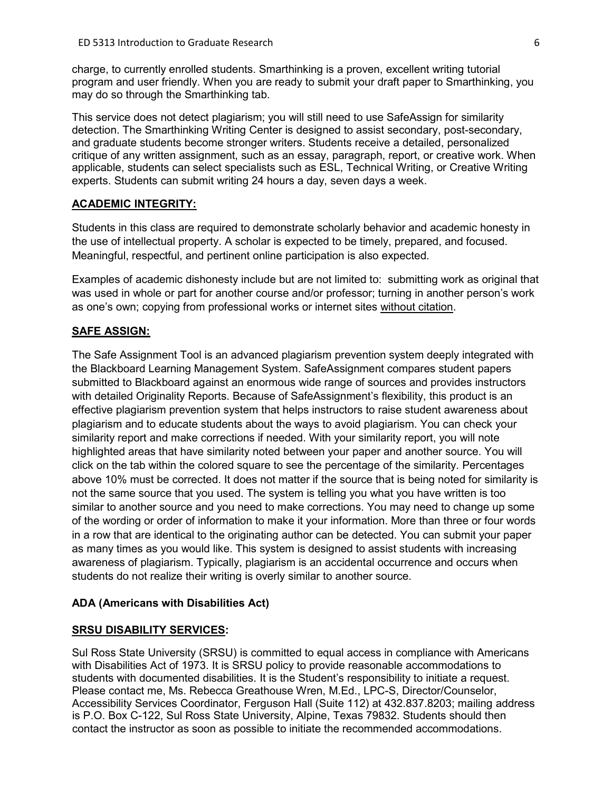charge, to currently enrolled students. Smarthinking is a proven, excellent writing tutorial program and user friendly. When you are ready to submit your draft paper to Smarthinking, you may do so through the Smarthinking tab.

This service does not detect plagiarism; you will still need to use SafeAssign for similarity detection. The Smarthinking Writing Center is designed to assist secondary, post-secondary, and graduate students become stronger writers. Students receive a detailed, personalized critique of any written assignment, such as an essay, paragraph, report, or creative work. When applicable, students can select specialists such as ESL, Technical Writing, or Creative Writing experts. Students can submit writing 24 hours a day, seven days a week.

#### **ACADEMIC INTEGRITY:**

Students in this class are required to demonstrate scholarly behavior and academic honesty in the use of intellectual property. A scholar is expected to be timely, prepared, and focused. Meaningful, respectful, and pertinent online participation is also expected.

Examples of academic dishonesty include but are not limited to: submitting work as original that was used in whole or part for another course and/or professor; turning in another person's work as one's own; copying from professional works or internet sites without citation.

#### **SAFE ASSIGN:**

The Safe Assignment Tool is an advanced plagiarism prevention system deeply integrated with the Blackboard Learning Management System. SafeAssignment compares student papers submitted to Blackboard against an enormous wide range of sources and provides instructors with detailed Originality Reports. Because of SafeAssignment's flexibility, this product is an effective plagiarism prevention system that helps instructors to raise student awareness about plagiarism and to educate students about the ways to avoid plagiarism. You can check your similarity report and make corrections if needed. With your similarity report, you will note highlighted areas that have similarity noted between your paper and another source. You will click on the tab within the colored square to see the percentage of the similarity. Percentages above 10% must be corrected. It does not matter if the source that is being noted for similarity is not the same source that you used. The system is telling you what you have written is too similar to another source and you need to make corrections. You may need to change up some of the wording or order of information to make it your information. More than three or four words in a row that are identical to the originating author can be detected. You can submit your paper as many times as you would like. This system is designed to assist students with increasing awareness of plagiarism. Typically, plagiarism is an accidental occurrence and occurs when students do not realize their writing is overly similar to another source.

#### **ADA (Americans with Disabilities Act)**

#### **SRSU DISABILITY SERVICES:**

Sul Ross State University (SRSU) is committed to equal access in compliance with Americans with Disabilities Act of 1973. It is SRSU policy to provide reasonable accommodations to students with documented disabilities. It is the Student's responsibility to initiate a request. Please contact me, Ms. Rebecca Greathouse Wren, M.Ed., LPC-S, Director/Counselor, Accessibility Services Coordinator, Ferguson Hall (Suite 112) at 432.837.8203; mailing address is P.O. Box C-122, Sul Ross State University, Alpine, Texas 79832. Students should then contact the instructor as soon as possible to initiate the recommended accommodations.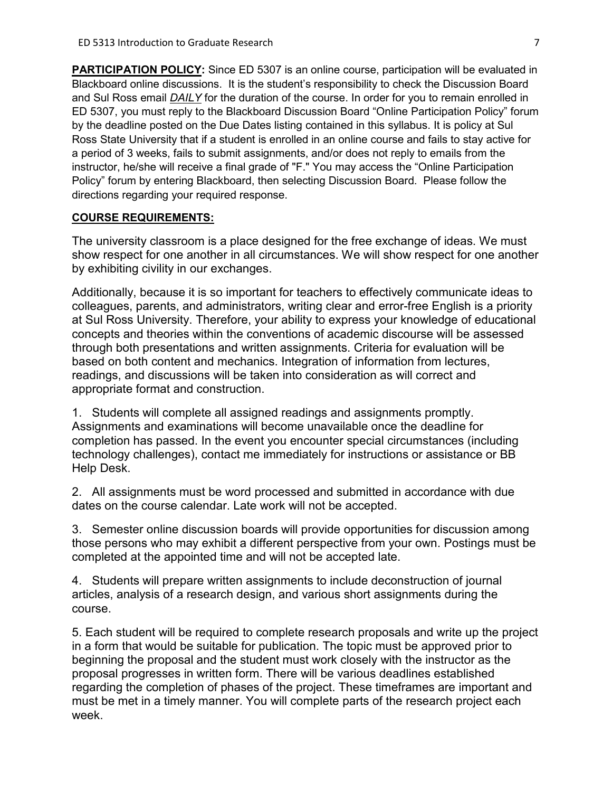**PARTICIPATION POLICY:** Since ED 5307 is an online course, participation will be evaluated in Blackboard online discussions. It is the student's responsibility to check the Discussion Board and Sul Ross email *DAILY* for the duration of the course. In order for you to remain enrolled in ED 5307, you must reply to the Blackboard Discussion Board "Online Participation Policy" forum by the deadline posted on the Due Dates listing contained in this syllabus. It is policy at Sul Ross State University that if a student is enrolled in an online course and fails to stay active for a period of 3 weeks, fails to submit assignments, and/or does not reply to emails from the instructor, he/she will receive a final grade of "F." You may access the "Online Participation Policy" forum by entering Blackboard, then selecting Discussion Board. Please follow the directions regarding your required response.

#### **COURSE REQUIREMENTS:**

The university classroom is a place designed for the free exchange of ideas. We must show respect for one another in all circumstances. We will show respect for one another by exhibiting civility in our exchanges.

Additionally, because it is so important for teachers to effectively communicate ideas to colleagues, parents, and administrators, writing clear and error-free English is a priority at Sul Ross University. Therefore, your ability to express your knowledge of educational concepts and theories within the conventions of academic discourse will be assessed through both presentations and written assignments. Criteria for evaluation will be based on both content and mechanics. Integration of information from lectures, readings, and discussions will be taken into consideration as will correct and appropriate format and construction.

1. Students will complete all assigned readings and assignments promptly. Assignments and examinations will become unavailable once the deadline for completion has passed. In the event you encounter special circumstances (including technology challenges), contact me immediately for instructions or assistance or BB Help Desk.

2. All assignments must be word processed and submitted in accordance with due dates on the course calendar. Late work will not be accepted.

3. Semester online discussion boards will provide opportunities for discussion among those persons who may exhibit a different perspective from your own. Postings must be completed at the appointed time and will not be accepted late.

4. Students will prepare written assignments to include deconstruction of journal articles, analysis of a research design, and various short assignments during the course.

5. Each student will be required to complete research proposals and write up the project in a form that would be suitable for publication. The topic must be approved prior to beginning the proposal and the student must work closely with the instructor as the proposal progresses in written form. There will be various deadlines established regarding the completion of phases of the project. These timeframes are important and must be met in a timely manner. You will complete parts of the research project each week.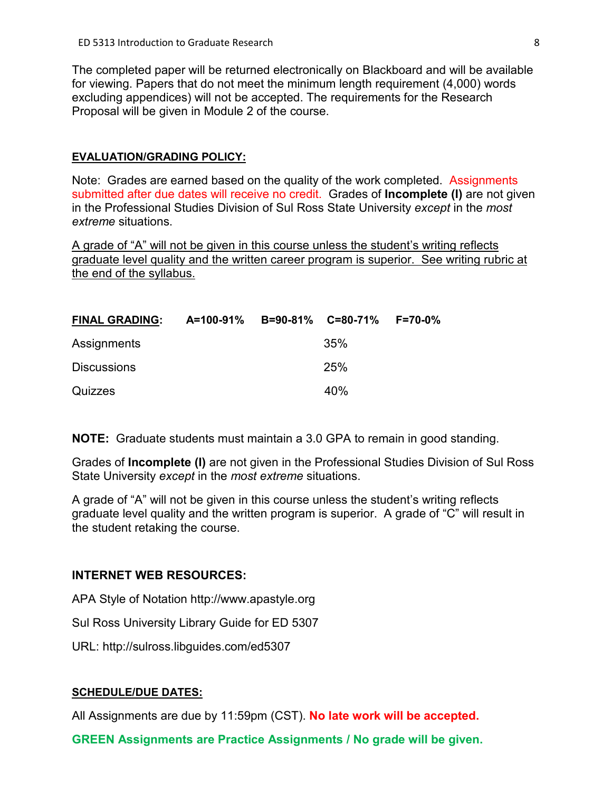The completed paper will be returned electronically on Blackboard and will be available for viewing. Papers that do not meet the minimum length requirement (4,000) words excluding appendices) will not be accepted. The requirements for the Research Proposal will be given in Module 2 of the course.

#### **EVALUATION/GRADING POLICY:**

Note: Grades are earned based on the quality of the work completed. Assignments submitted after due dates will receive no credit. Grades of **Incomplete (I)** are not given in the Professional Studies Division of Sul Ross State University *except* in the *most extreme* situations.

A grade of "A" will not be given in this course unless the student's writing reflects graduate level quality and the written career program is superior. See writing rubric at the end of the syllabus.

| <b>FINAL GRADING:</b> | A=100-91% B=90-81% C=80-71% F=70-0% |     |  |
|-----------------------|-------------------------------------|-----|--|
| Assignments           |                                     | 35% |  |
| <b>Discussions</b>    |                                     | 25% |  |
| Quizzes               |                                     | 40% |  |

**NOTE:** Graduate students must maintain a 3.0 GPA to remain in good standing.

Grades of **Incomplete (I)** are not given in the Professional Studies Division of Sul Ross State University *except* in the *most extreme* situations.

A grade of "A" will not be given in this course unless the student's writing reflects graduate level quality and the written program is superior. A grade of "C" will result in the student retaking the course.

#### **INTERNET WEB RESOURCES:**

APA Style of Notation http://www.apastyle.org

Sul Ross University Library Guide for ED 5307

URL: http://sulross.libguides.com/ed5307

#### **SCHEDULE/DUE DATES:**

All Assignments are due by 11:59pm (CST). **No late work will be accepted.** 

**GREEN Assignments are Practice Assignments / No grade will be given.**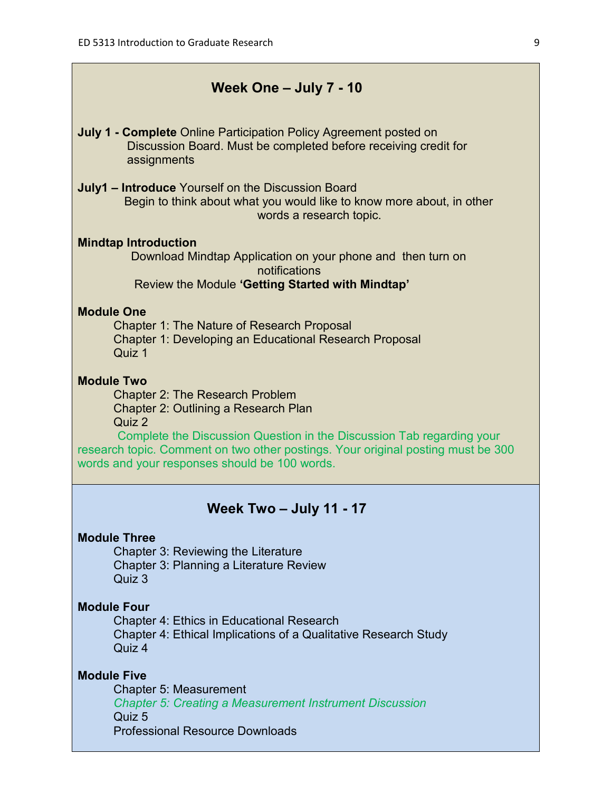# **Week One – July 7 - 10**

- **July 1 - Complete** Online Participation Policy Agreement posted on Discussion Board. Must be completed before receiving credit for assignments
- **July1 – Introduce** Yourself on the Discussion Board Begin to think about what you would like to know more about, in other words a research topic.

#### **Mindtap Introduction**

Download Mindtap Application on your phone and then turn on notifications Review the Module **'Getting Started with Mindtap'**

#### **Module One**

Chapter 1: The Nature of Research Proposal Chapter 1: Developing an Educational Research Proposal Quiz 1

# **Module Two**

Chapter 2: The Research Problem Chapter 2: Outlining a Research Plan Quiz 2

 Complete the Discussion Question in the Discussion Tab regarding your research topic. Comment on two other postings. Your original posting must be 300 words and your responses should be 100 words.

# **Week Two – July 11 - 17**

#### **Module Three**

Chapter 3: Reviewing the Literature Chapter 3: Planning a Literature Review Quiz 3

#### **Module Four**

Chapter 4: Ethics in Educational Research Chapter 4: Ethical Implications of a Qualitative Research Study Quiz 4

# **Module Five**

Chapter 5: Measurement *Chapter 5: Creating a Measurement Instrument Discussion* Quiz 5 Professional Resource Downloads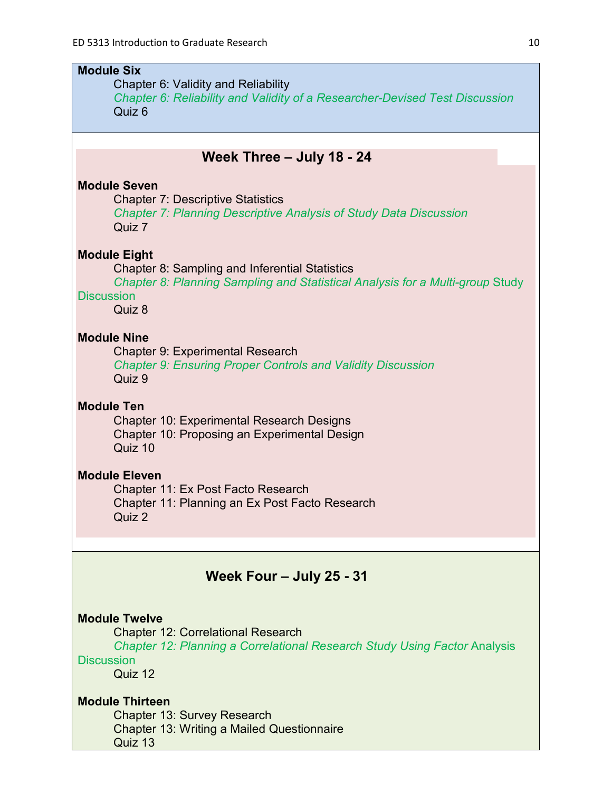# **Module Six** Chapter 6: Validity and Reliability *Chapter 6: Reliability and Validity of a Researcher-Devised Test Discussion* Quiz 6 **Week Three – July 18 - 24 Module Seven** Chapter 7: Descriptive Statistics *Chapter 7: Planning Descriptive Analysis of Study Data Discussion* Quiz 7 **Module Eight** Chapter 8: Sampling and Inferential Statistics *Chapter 8: Planning Sampling and Statistical Analysis for a Multi-group* Study **Discussion** Quiz 8 **Module Nine** Chapter 9: Experimental Research *Chapter 9: Ensuring Proper Controls and Validity Discussion* Quiz 9 **Module Ten** Chapter 10: Experimental Research Designs Chapter 10: Proposing an Experimental Design Quiz 10 **Module Eleven** Chapter 11: Ex Post Facto Research Chapter 11: Planning an Ex Post Facto Research Quiz 2 **Week Four – July 25 - 31**

# **Module Twelve**

Chapter 12: Correlational Research

*Chapter 12: Planning a Correlational Research Study Using Factor* Analysis **Discussion** 

Quiz 12

# **Module Thirteen**

Chapter 13: Survey Research Chapter 13: Writing a Mailed Questionnaire Quiz 13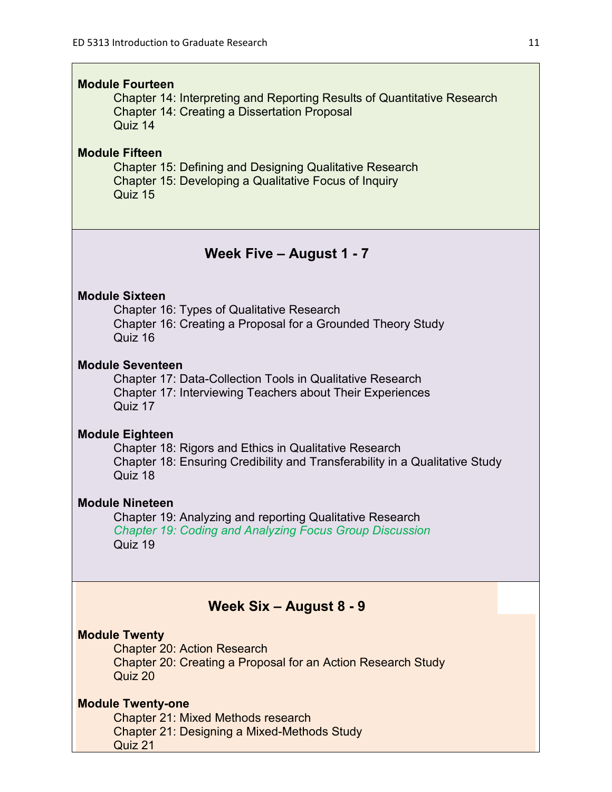#### **Module Fourteen**

Chapter 14: Interpreting and Reporting Results of Quantitative Research Chapter 14: Creating a Dissertation Proposal Quiz 14

# **Module Fifteen**

Chapter 15: Defining and Designing Qualitative Research Chapter 15: Developing a Qualitative Focus of Inquiry Quiz 15

# **Week Five – August 1 - 7**

#### **Module Sixteen**

Chapter 16: Types of Qualitative Research Chapter 16: Creating a Proposal for a Grounded Theory Study Quiz 16

# **Module Seventeen**

Chapter 17: Data-Collection Tools in Qualitative Research Chapter 17: Interviewing Teachers about Their Experiences Quiz 17

#### **Module Eighteen**

Chapter 18: Rigors and Ethics in Qualitative Research Chapter 18: Ensuring Credibility and Transferability in a Qualitative Study Quiz 18

# **Module Nineteen**

Chapter 19: Analyzing and reporting Qualitative Research *Chapter 19: Coding and Analyzing Focus Group Discussion* Quiz 19

# **Week Six – August 8 - 9**

## **Module Twenty**

Chapter 20: Action Research Chapter 20: Creating a Proposal for an Action Research Study Quiz 20

# **Module Twenty-one**

Chapter 21: Mixed Methods research Chapter 21: Designing a Mixed-Methods Study Quiz 21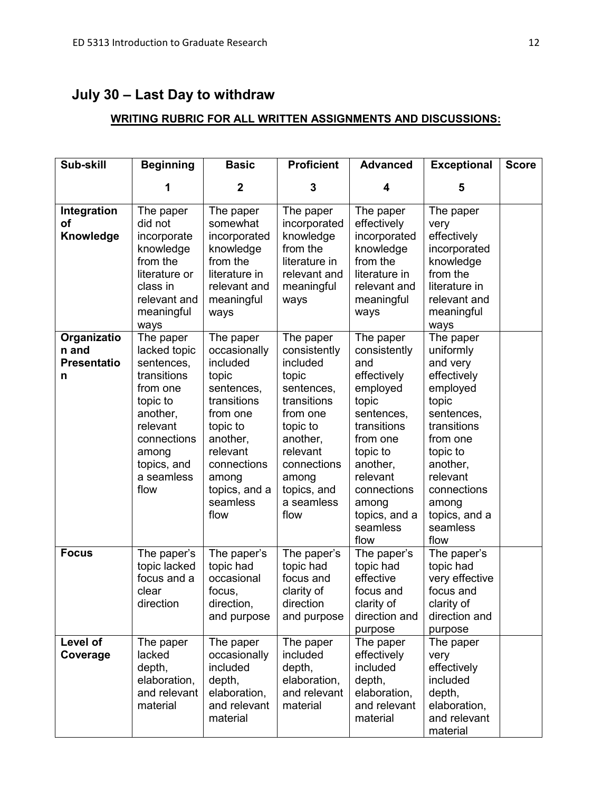# **July 30 – Last Day to withdraw**

# **WRITING RUBRIC FOR ALL WRITTEN ASSIGNMENTS AND DISCUSSIONS:**

| Sub-skill                                       | <b>Beginning</b>                                                                                                                                                    | <b>Basic</b>                                                                                                                                                                             | <b>Proficient</b>                                                                                                                                                                        | <b>Advanced</b>                                                                                                                                                                                                | <b>Exceptional</b>                                                                                                                                                                                               | <b>Score</b> |
|-------------------------------------------------|---------------------------------------------------------------------------------------------------------------------------------------------------------------------|------------------------------------------------------------------------------------------------------------------------------------------------------------------------------------------|------------------------------------------------------------------------------------------------------------------------------------------------------------------------------------------|----------------------------------------------------------------------------------------------------------------------------------------------------------------------------------------------------------------|------------------------------------------------------------------------------------------------------------------------------------------------------------------------------------------------------------------|--------------|
|                                                 |                                                                                                                                                                     | $\boldsymbol{2}$                                                                                                                                                                         | 3                                                                                                                                                                                        | 4                                                                                                                                                                                                              | 5                                                                                                                                                                                                                |              |
| Integration<br>οf<br>Knowledge                  | The paper<br>did not<br>incorporate<br>knowledge<br>from the<br>literature or<br>class in<br>relevant and<br>meaningful<br>ways                                     | The paper<br>somewhat<br>incorporated<br>knowledge<br>from the<br>literature in<br>relevant and<br>meaningful<br>ways                                                                    | The paper<br>incorporated<br>knowledge<br>from the<br>literature in<br>relevant and<br>meaningful<br>ways                                                                                | The paper<br>effectively<br>incorporated<br>knowledge<br>from the<br>literature in<br>relevant and<br>meaningful<br>ways                                                                                       | The paper<br>very<br>effectively<br>incorporated<br>knowledge<br>from the<br>literature in<br>relevant and<br>meaningful<br>ways                                                                                 |              |
| Organizatio<br>n and<br><b>Presentatio</b><br>n | The paper<br>lacked topic<br>sentences,<br>transitions<br>from one<br>topic to<br>another,<br>relevant<br>connections<br>among<br>topics, and<br>a seamless<br>flow | The paper<br>occasionally<br>included<br>topic<br>sentences,<br>transitions<br>from one<br>topic to<br>another,<br>relevant<br>connections<br>among<br>topics, and a<br>seamless<br>flow | The paper<br>consistently<br>included<br>topic<br>sentences,<br>transitions<br>from one<br>topic to<br>another,<br>relevant<br>connections<br>among<br>topics, and<br>a seamless<br>flow | The paper<br>consistently<br>and<br>effectively<br>employed<br>topic<br>sentences,<br>transitions<br>from one<br>topic to<br>another,<br>relevant<br>connections<br>among<br>topics, and a<br>seamless<br>flow | The paper<br>uniformly<br>and very<br>effectively<br>employed<br>topic<br>sentences,<br>transitions<br>from one<br>topic to<br>another,<br>relevant<br>connections<br>among<br>topics, and a<br>seamless<br>flow |              |
| <b>Focus</b>                                    | The paper's<br>topic lacked<br>focus and a<br>clear<br>direction                                                                                                    | The paper's<br>topic had<br>occasional<br>focus,<br>direction,<br>and purpose                                                                                                            | The paper's<br>topic had<br>focus and<br>clarity of<br>direction<br>and purpose                                                                                                          | The paper's<br>topic had<br>effective<br>focus and<br>clarity of<br>direction and<br>purpose                                                                                                                   | The paper's<br>topic had<br>very effective<br>focus and<br>clarity of<br>direction and<br>purpose                                                                                                                |              |
| Level of<br>Coverage                            | The paper<br>lacked<br>depth,<br>elaboration,<br>and relevant<br>material                                                                                           | The paper<br>occasionally<br>included<br>depth,<br>elaboration,<br>and relevant<br>material                                                                                              | The paper<br>included<br>depth,<br>elaboration,<br>and relevant<br>material                                                                                                              | The paper<br>effectively<br>included<br>depth,<br>elaboration,<br>and relevant<br>material                                                                                                                     | The paper<br>very<br>effectively<br>included<br>depth,<br>elaboration,<br>and relevant<br>material                                                                                                               |              |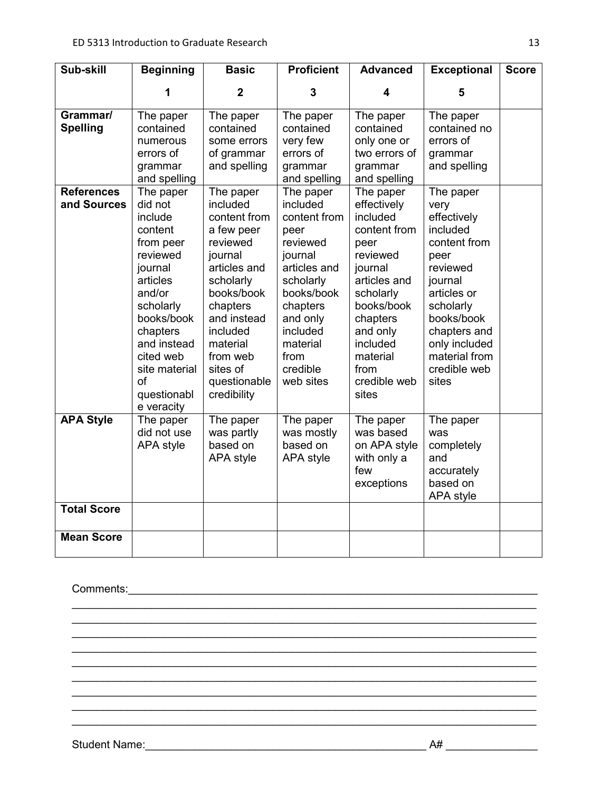| Sub-skill                                                       | <b>Beginning</b>                                                                                                                                                                                                                                                                                          | <b>Basic</b>                                                                                                                                                                                                                                                                                           | <b>Proficient</b>                                                                                                                                                                                                                                                              | <b>Advanced</b>                                                                                                                                                                                                                                                                                      | <b>Exceptional</b>                                                                                                                                                                                                                                                                    | <b>Score</b> |
|-----------------------------------------------------------------|-----------------------------------------------------------------------------------------------------------------------------------------------------------------------------------------------------------------------------------------------------------------------------------------------------------|--------------------------------------------------------------------------------------------------------------------------------------------------------------------------------------------------------------------------------------------------------------------------------------------------------|--------------------------------------------------------------------------------------------------------------------------------------------------------------------------------------------------------------------------------------------------------------------------------|------------------------------------------------------------------------------------------------------------------------------------------------------------------------------------------------------------------------------------------------------------------------------------------------------|---------------------------------------------------------------------------------------------------------------------------------------------------------------------------------------------------------------------------------------------------------------------------------------|--------------|
|                                                                 | 1                                                                                                                                                                                                                                                                                                         | $\overline{2}$                                                                                                                                                                                                                                                                                         | 3                                                                                                                                                                                                                                                                              | 4                                                                                                                                                                                                                                                                                                    | 5                                                                                                                                                                                                                                                                                     |              |
| Grammar/<br><b>Spelling</b><br><b>References</b><br>and Sources | The paper<br>contained<br>numerous<br>errors of<br>grammar<br>and spelling<br>The paper<br>did not<br>include<br>content<br>from peer<br>reviewed<br>journal<br>articles<br>and/or<br>scholarly<br>books/book<br>chapters<br>and instead<br>cited web<br>site material<br>of<br>questionabl<br>e veracity | The paper<br>contained<br>some errors<br>of grammar<br>and spelling<br>The paper<br>included<br>content from<br>a few peer<br>reviewed<br>journal<br>articles and<br>scholarly<br>books/book<br>chapters<br>and instead<br>included<br>material<br>from web<br>sites of<br>questionable<br>credibility | The paper<br>contained<br>very few<br>errors of<br>grammar<br>and spelling<br>The paper<br>included<br>content from<br>peer<br>reviewed<br>journal<br>articles and<br>scholarly<br>books/book<br>chapters<br>and only<br>included<br>material<br>from<br>credible<br>web sites | The paper<br>contained<br>only one or<br>two errors of<br>grammar<br>and spelling<br>The paper<br>effectively<br>included<br>content from<br>peer<br>reviewed<br>journal<br>articles and<br>scholarly<br>books/book<br>chapters<br>and only<br>included<br>material<br>from<br>credible web<br>sites | The paper<br>contained no<br>errors of<br>grammar<br>and spelling<br>The paper<br>very<br>effectively<br>included<br>content from<br>peer<br>reviewed<br>journal<br>articles or<br>scholarly<br>books/book<br>chapters and<br>only included<br>material from<br>credible web<br>sites |              |
| <b>APA Style</b>                                                | The paper<br>did not use<br>APA style                                                                                                                                                                                                                                                                     | The paper<br>was partly<br>based on<br>APA style                                                                                                                                                                                                                                                       | The paper<br>was mostly<br>based on<br>APA style                                                                                                                                                                                                                               | The paper<br>was based<br>on APA style<br>with only a<br>few<br>exceptions                                                                                                                                                                                                                           | The paper<br>was<br>completely<br>and<br>accurately<br>based on<br>APA style                                                                                                                                                                                                          |              |
| <b>Total Score</b>                                              |                                                                                                                                                                                                                                                                                                           |                                                                                                                                                                                                                                                                                                        |                                                                                                                                                                                                                                                                                |                                                                                                                                                                                                                                                                                                      |                                                                                                                                                                                                                                                                                       |              |
| <b>Mean Score</b>                                               |                                                                                                                                                                                                                                                                                                           |                                                                                                                                                                                                                                                                                                        |                                                                                                                                                                                                                                                                                |                                                                                                                                                                                                                                                                                                      |                                                                                                                                                                                                                                                                                       |              |

 $\mathcal{L}_\text{max}$  , and the contribution of the contribution of the contribution of the contribution of the contribution of the contribution of the contribution of the contribution of the contribution of the contribution of t  $\mathcal{L}_\text{max}$  , and the contribution of the contribution of the contribution of the contribution of the contribution of the contribution of the contribution of the contribution of the contribution of the contribution of t

\_\_\_\_\_\_\_\_\_\_\_\_\_\_\_\_\_\_\_\_\_\_\_\_\_\_\_\_\_\_\_\_\_\_\_\_\_\_\_\_\_\_\_\_\_\_\_\_\_\_\_\_\_\_\_\_\_\_\_\_\_\_\_\_\_\_\_\_\_\_\_\_\_\_\_\_ \_\_\_\_\_\_\_\_\_\_\_\_\_\_\_\_\_\_\_\_\_\_\_\_\_\_\_\_\_\_\_\_\_\_\_\_\_\_\_\_\_\_\_\_\_\_\_\_\_\_\_\_\_\_\_\_\_\_\_\_\_\_\_\_\_\_\_\_\_\_\_\_\_\_\_\_  $\mathcal{L}_\text{max}$  , and the contribution of the contribution of the contribution of the contribution of the contribution of the contribution of the contribution of the contribution of the contribution of the contribution of t  $\mathcal{L}_\text{max}$  , and the contribution of the contribution of the contribution of the contribution of the contribution of the contribution of the contribution of the contribution of the contribution of the contribution of t  $\mathcal{L}_\text{max}$  , and the contribution of the contribution of the contribution of the contribution of the contribution of the contribution of the contribution of the contribution of the contribution of the contribution of t  $\mathcal{L}_\text{max}$  , and the contribution of the contribution of the contribution of the contribution of the contribution of the contribution of the contribution of the contribution of the contribution of the contribution of t

Comments: